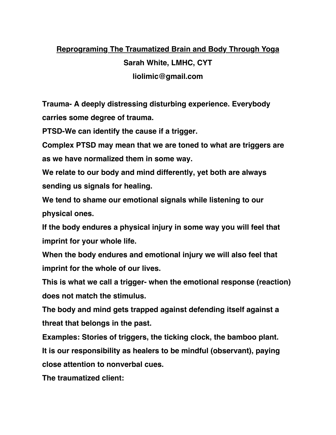# **Reprograming The Traumatized Brain and Body Through Yoga**

#### **Sarah White, LMHC, CYT**

**liolimic@gmail.com**

**Trauma- A deeply distressing disturbing experience. Everybody carries some degree of trauma.**

**PTSD-We can identify the cause if a trigger.**

**Complex PTSD may mean that we are toned to what are triggers are as we have normalized them in some way.** 

**We relate to our body and mind differently, yet both are always sending us signals for healing.** 

**We tend to shame our emotional signals while listening to our physical ones.** 

**If the body endures a physical injury in some way you will feel that imprint for your whole life.**

**When the body endures and emotional injury we will also feel that imprint for the whole of our lives.** 

**This is what we call a trigger- when the emotional response (reaction) does not match the stimulus.** 

**The body and mind gets trapped against defending itself against a threat that belongs in the past.** 

**Examples: Stories of triggers, the ticking clock, the bamboo plant. It is our responsibility as healers to be mindful (observant), paying close attention to nonverbal cues.** 

**The traumatized client:**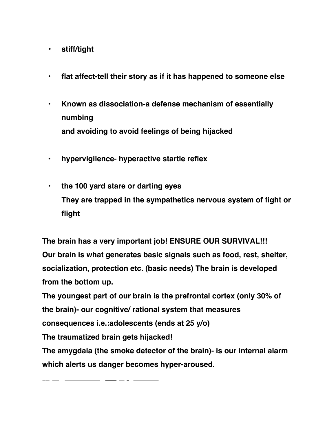- **stiff/tight**
- **• flat affect-tell their story as if it has happened to someone else**
- **• Known as dissociation-a defense mechanism of essentially numbing and avoiding to avoid feelings of being hijacked**
- **• hypervigilence- hyperactive startle reflex**
- **• the 100 yard stare or darting eyes They are trapped in the sympathetics nervous system of fight or flight**

**The brain has a very important job! ENSURE OUR SURVIVAL!!! Our brain is what generates basic signals such as food, rest, shelter, socialization, protection etc. (basic needs) The brain is developed from the bottom up.**

**The youngest part of our brain is the prefrontal cortex (only 30% of the brain)- our cognitive/ rational system that measures consequences i.e.:adolescents (ends at 25 y/o) The traumatized brain gets hijacked! The amygdala (the smoke detector of the brain)- is our internal alarm which alerts us danger becomes hyper-aroused.**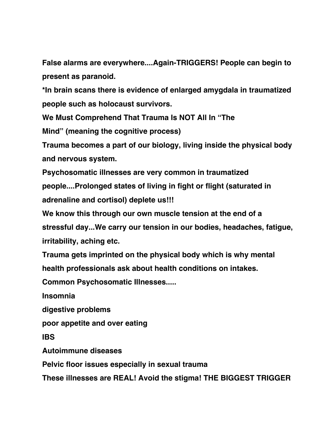**False alarms are everywhere....Again-TRIGGERS! People can begin to present as paranoid.**

**\*In brain scans there is evidence of enlarged amygdala in traumatized people such as holocaust survivors.** 

**We Must Comprehend That Trauma Is NOT All In "The** 

**Mind" (meaning the cognitive process)**

**Trauma becomes a part of our biology, living inside the physical body and nervous system.** 

**Psychosomatic illnesses are very common in traumatized people....Prolonged states of living in fight or flight (saturated in adrenaline and cortisol) deplete us!!!**

**We know this through our own muscle tension at the end of a stressful day...We carry our tension in our bodies, headaches, fatigue, irritability, aching etc.** 

**Trauma gets imprinted on the physical body which is why mental health professionals ask about health conditions on intakes.**

**Common Psychosomatic Illnesses.....** 

**Insomnia** 

**digestive problems**

**poor appetite and over eating**

**IBS**

**Autoimmune diseases**

**Pelvic floor issues especially in sexual trauma** 

**These illnesses are REAL! Avoid the stigma! THE BIGGEST TRIGGER**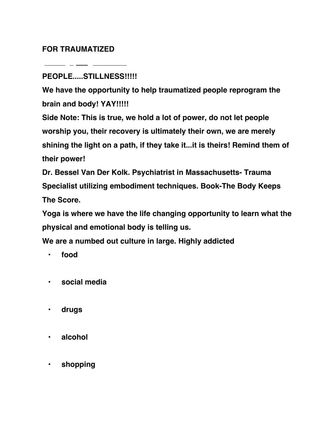### **FOR TRAUMATIZED**

# **PEOPLE.....STILLNESS!!!!!**

**We have the opportunity to help traumatized people reprogram the brain and body! YAY!!!!!**

**Side Note: This is true, we hold a lot of power, do not let people worship you, their recovery is ultimately their own, we are merely shining the light on a path, if they take it...it is theirs! Remind them of their power!** 

**Dr. Bessel Van Der Kolk. Psychiatrist in Massachusetts- Trauma Specialist utilizing embodiment techniques. Book-The Body Keeps The Score.** 

**Yoga is where we have the life changing opportunity to learn what the physical and emotional body is telling us.** 

**We are a numbed out culture in large. Highly addicted** 

- **• food**
- **• social media**
- **• drugs**
- **• alcohol**
- **• shopping**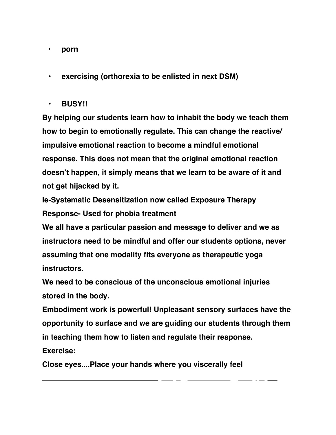**• porn** 

 **• exercising (orthorexia to be enlisted in next DSM)** 

 **• BUSY!!** 

**By helping our students learn how to inhabit the body we teach them how to begin to emotionally regulate. This can change the reactive/ impulsive emotional reaction to become a mindful emotional response. This does not mean that the original emotional reaction doesn't happen, it simply means that we learn to be aware of it and not get hijacked by it.** 

**Ie-Systematic Desensitization now called Exposure Therapy Response- Used for phobia treatment** 

**We all have a particular passion and message to deliver and we as instructors need to be mindful and offer our students options, never assuming that one modality fits everyone as therapeutic yoga instructors.** 

**We need to be conscious of the unconscious emotional injuries stored in the body.** 

**Embodiment work is powerful! Unpleasant sensory surfaces have the opportunity to surface and we are guiding our students through them in teaching them how to listen and regulate their response.** 

**Exercise:**

**Close eyes....Place your hands where you viscerally feel**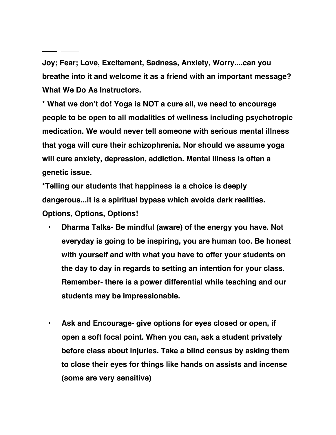**Joy; Fear; Love, Excitement, Sadness, Anxiety, Worry....can you breathe into it and welcome it as a friend with an important message? What We Do As Instructors.**

**\* What we don't do! Yoga is NOT a cure all, we need to encourage people to be open to all modalities of wellness including psychotropic medication. We would never tell someone with serious mental illness that yoga will cure their schizophrenia. Nor should we assume yoga will cure anxiety, depression, addiction. Mental illness is often a genetic issue.**

**\*Telling our students that happiness is a choice is deeply dangerous...it is a spiritual bypass which avoids dark realities. Options, Options, Options!** 

- **• Dharma Talks- Be mindful (aware) of the energy you have. Not everyday is going to be inspiring, you are human too. Be honest with yourself and with what you have to offer your students on the day to day in regards to setting an intention for your class. Remember- there is a power differential while teaching and our students may be impressionable.**
- **• Ask and Encourage- give options for eyes closed or open, if open a soft focal point. When you can, ask a student privately before class about injuries. Take a blind census by asking them to close their eyes for things like hands on assists and incense (some are very sensitive)**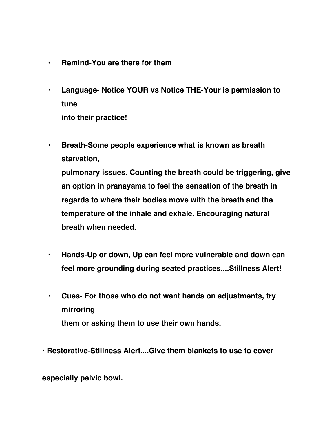- **• Remind-You are there for them**
- **• Language- Notice YOUR vs Notice THE-Your is permission to tune into their practice!**
- **• Breath-Some people experience what is known as breath starvation,**

**pulmonary issues. Counting the breath could be triggering, give an option in pranayama to feel the sensation of the breath in regards to where their bodies move with the breath and the temperature of the inhale and exhale. Encouraging natural breath when needed.** 

- **• Hands-Up or down, Up can feel more vulnerable and down can feel more grounding during seated practices....Stillness Alert!**
- **• Cues- For those who do not want hands on adjustments, try mirroring them or asking them to use their own hands.**
- **Restorative-Stillness Alert....Give them blankets to use to cover**

**especially pelvic bowl.**